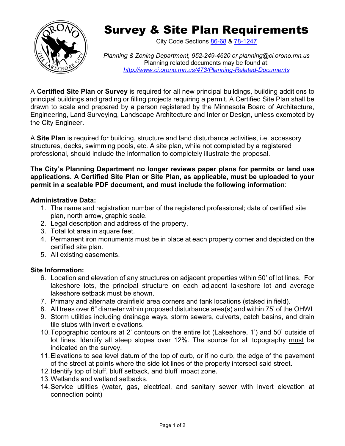

# Survey & Site Plan Requirements

City Code Sections [86-68](https://library.municode.com/mn/orono/codes/code_of_ordinances?nodeId=TITVILAUS_CH86BUBURE_ARTIIBUCO_DIV2COPE_S86-66RE) & [78-1247](https://library.municode.com/mn/orono/codes/code_of_ordinances?nodeId=TITVILAUS_CH78ZORE_ARTIXSHMA_DIV2ADEN_S78-1247LAALBUPERE)

*Planning & Zoning Department, 952-249-4620 or [planning@ci.orono.mn.us](mailto:planner@ci.orono.mn.us)* Planning related documents may be found at: *<http://www.ci.orono.mn.us/473/Planning-Related-Documents>*

A **Certified Site Plan** or **Survey** is required for all new principal buildings, building additions to principal buildings and grading or filling projects requiring a permit. A Certified Site Plan shall be drawn to scale and prepared by a person registered by the Minnesota Board of Architecture, Engineering, Land Surveying, Landscape Architecture and Interior Design, unless exempted by the City Engineer.

A **Site Plan** is required for building, structure and land disturbance activities, i.e. accessory structures, decks, swimming pools, etc. A site plan, while not completed by a registered professional, should include the information to completely illustrate the proposal.

**The City's Planning Department no longer reviews paper plans for permits or land use applications. A Certified Site Plan or Site Plan, as applicable, must be uploaded to your permit in a scalable PDF document, and must include the following information**:

#### **Administrative Data:**

- 1. The name and registration number of the registered professional; date of certified site plan, north arrow, graphic scale.
- 2. Legal description and address of the property,
- 3. Total lot area in square feet.
- 4. Permanent iron monuments must be in place at each property corner and depicted on the certified site plan.
- 5. All existing easements.

## **Site Information:**

- 6. Location and elevation of any structures on adjacent properties within 50' of lot lines. For lakeshore lots, the principal structure on each adjacent lakeshore lot and average lakeshore setback must be shown.
- 7. Primary and alternate drainfield area corners and tank locations (staked in field).
- 8. All trees over 6" diameter within proposed disturbance area(s) and within 75' of the OHWL
- 9. Storm utilities including drainage ways, storm sewers, culverts, catch basins, and drain tile stubs with invert elevations.
- 10.Topographic contours at 2' contours on the entire lot (Lakeshore, 1') and 50' outside of lot lines. Identify all steep slopes over 12%. The source for all topography must be indicated on the survey.
- 11.Elevations to sea level datum of the top of curb, or if no curb, the edge of the pavement of the street at points where the side lot lines of the property intersect said street.
- 12.Identify top of bluff, bluff setback, and bluff impact zone.
- 13.Wetlands and wetland setbacks.
- 14.Service utilities (water, gas, electrical, and sanitary sewer with invert elevation at connection point)